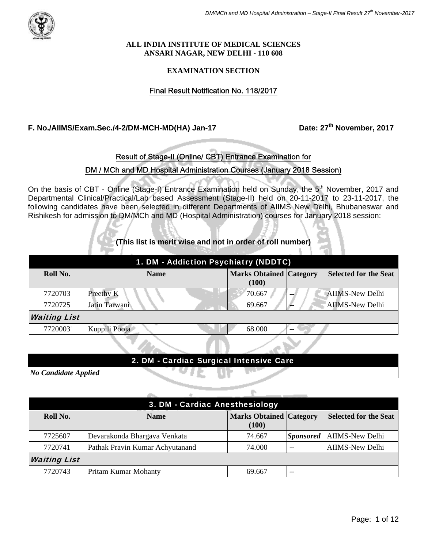#### **ALL INDIA INSTITUTE OF MEDICAL SCIENCES ANSARI NAGAR, NEW DELHI - 110 608**

### **EXAMINATION SECTION**

## Final Result Notification No. 118/2017

**F. No./AIIMS/Exam.Sec./4-2/DM-MCH-MD(HA) Jan-17 Date: 27th November, 2017**

## Result of Stage-II (Online/ CBT) Entrance Examination for

## DM / MCh and MD Hospital Administration Courses (January 2018 Session)

On the basis of CBT - Online (Stage-I) Entrance Examination held on Sunday, the 5<sup>th</sup> November, 2017 and Departmental Clinical/Practical/Lab based Assessment (Stage-II) held on 20-11-2017 to 23-11-2017, the following candidates have been selected in different Departments of AIIMS New Delhi, Bhubaneswar and Rishikesh for admission to DM/MCh and MD (Hospital Administration) courses for January 2018 session:

**(This list is merit wise and not in order of roll number)** 

| 1. DM - Addiction Psychiatry (NDDTC) |               |                                         |               |                              |  |
|--------------------------------------|---------------|-----------------------------------------|---------------|------------------------------|--|
| Roll No.                             | <b>Name</b>   | <b>Marks Obtained Category</b><br>(100) |               | <b>Selected for the Seat</b> |  |
| 7720703                              | Preethy K     | 70.667                                  |               | <b>AIIMS-New Delhi</b>       |  |
| 7720725                              | Jatin Tarwani | 69.667                                  | -             | <b>AIIMS-New Delhi</b>       |  |
| <b>Waiting List</b>                  |               |                                         |               |                              |  |
| 7720003                              | Kuppili Pooja | 68.000                                  | $\sim$ $\sim$ |                              |  |

## 2. DM - Cardiac Surgical Intensive Care

*No Candidate Applied* 

| 3. DM - Cardiac Anesthesiology |                                 |                                         |       |                                    |  |
|--------------------------------|---------------------------------|-----------------------------------------|-------|------------------------------------|--|
| Roll No.                       | <b>Name</b>                     | <b>Marks Obtained Category</b><br>(100) |       | <b>Selected for the Seat</b>       |  |
| 7725607                        | Devarakonda Bhargava Venkata    | 74.667                                  |       | <i>Sponsored</i>   AIIMS-New Delhi |  |
| 7720741                        | Pathak Pravin Kumar Achyutanand | 74.000                                  | $- -$ | <b>AIIMS-New Delhi</b>             |  |
| <b>Waiting List</b>            |                                 |                                         |       |                                    |  |
| 7720743                        | Pritam Kumar Mohanty            | 69.667                                  | $- -$ |                                    |  |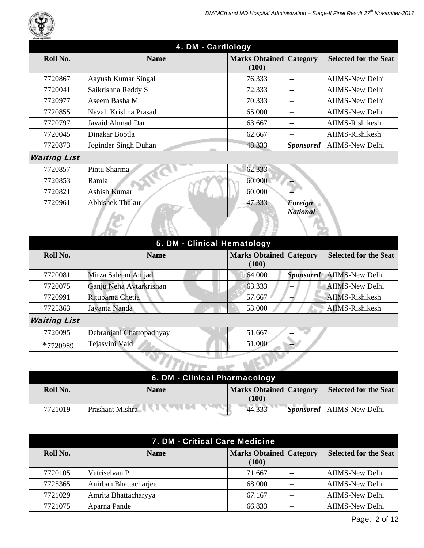

| Roll No.            | <b>Name</b>           | <b>Marks Obtained Category</b> |                                   | <b>Selected for the Seat</b> |
|---------------------|-----------------------|--------------------------------|-----------------------------------|------------------------------|
|                     |                       | (100)                          |                                   |                              |
| 7720867             | Aayush Kumar Singal   | 76.333                         | --                                | <b>AIIMS-New Delhi</b>       |
| 7720041             | Saikrishna Reddy S    | 72.333                         | --                                | AIIMS-New Delhi              |
| 7720977             | Aseem Basha M         | 70.333                         | $- -$                             | <b>AIIMS-New Delhi</b>       |
| 7720855             | Nevali Krishna Prasad | 65.000                         | $- -$                             | <b>AIIMS-New Delhi</b>       |
| 7720797             | Javaid Ahmad Dar      | 63.667                         | $- -$                             | AIIMS-Rishikesh              |
| 7720045             | Dinakar Bootla        | 62.667                         | $- -$                             | AIIMS-Rishikesh              |
| 7720873             | Joginder Singh Duhan  | 48.333                         | <b>Sponsored</b>                  | <b>AIIMS-New Delhi</b>       |
| <b>Waiting List</b> |                       |                                |                                   |                              |
| 7720857             | Pintu Sharma          | 62.333                         | --                                |                              |
| 7720853             | Ramlal                | 60.000                         | --                                |                              |
| 7720821             | <b>Ashish Kumar</b>   | 60.000                         |                                   |                              |
| 7720961             | Abhishek Thakur       | 47.333                         | <b>Foreign</b><br><b>National</b> |                              |
|                     |                       |                                |                                   |                              |

| 5. DM - Clinical Hematology |                          |                                         |  |                              |
|-----------------------------|--------------------------|-----------------------------------------|--|------------------------------|
| Roll No.                    | <b>Name</b>              | <b>Marks Obtained Category</b><br>(100) |  | <b>Selected for the Seat</b> |
| 7720081                     | Mirza Saleem Amjad       | 64.000                                  |  | Sponsored   AIIMS-New Delhi  |
| 7720075                     | Ganju Neha Avtarkrishan  | 63.333                                  |  | <b>AIIMS-New Delhi</b>       |
| 7720991                     | Rituparna Chetia         | 57.667                                  |  | AIIMS-Rishikesh              |
| 7725363                     | Jayanta Nanda            | 53.000                                  |  | AIIMS-Rishikesh              |
| <b>Waiting List</b>         |                          |                                         |  |                              |
| 7720095                     | Debranjani Chattopadhyay | 51.667                                  |  |                              |
| $*7720989$                  | Tejasvini Vaid           | 51.000                                  |  |                              |
|                             |                          |                                         |  |                              |

| 6. DM - Clinical Pharmacology |                 |                                         |  |                                    |
|-------------------------------|-----------------|-----------------------------------------|--|------------------------------------|
| Roll No.                      | Name            | <b>Marks Obtained Category</b><br>(100) |  | <b>Selected for the Seat</b>       |
| 7721019                       | Prashant Mishra | 44.333                                  |  | <i>Sponsored</i>   AIIMS-New Delhi |

| 7. DM - Critical Care Medicine |                       |                                         |     |                              |  |
|--------------------------------|-----------------------|-----------------------------------------|-----|------------------------------|--|
| Roll No.                       | <b>Name</b>           | <b>Marks Obtained Category</b><br>(100) |     | <b>Selected for the Seat</b> |  |
| 7720105                        | Vetriselvan P         | 71.667                                  | $-$ | AIIMS-New Delhi              |  |
| 7725365                        | Anirban Bhattacharjee | 68.000                                  | --  | <b>AIIMS-New Delhi</b>       |  |
| 7721029                        | Amrita Bhattacharyya  | 67.167                                  | $-$ | <b>AIIMS-New Delhi</b>       |  |
| 7721075                        | Aparna Pande          | 66.833                                  | --  | <b>AIIMS-New Delhi</b>       |  |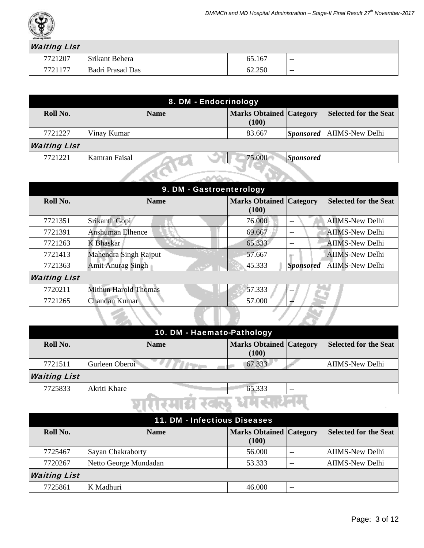

## $\overline{I}$  ict

| <b><i>Walling List</i></b> |                  |        |       |  |
|----------------------------|------------------|--------|-------|--|
| 7721207                    | Srikant Behera   |        | $- -$ |  |
| 7721177                    | Badri Prasad Das | 62.250 | $- -$ |  |

| 8. DM - Endocrinology                                  |             |                                         |                        |                              |
|--------------------------------------------------------|-------------|-----------------------------------------|------------------------|------------------------------|
| Roll No.                                               | <b>Name</b> | <b>Marks Obtained Category</b><br>(100) |                        | <b>Selected for the Seat</b> |
| 7721227                                                | Vinay Kumar | 83.667                                  | $ S\textit{ponsored} $ | <b>AIIMS-New Delhi</b>       |
| <b>Waiting List</b>                                    |             |                                         |                        |                              |
| 75.000<br>7721221<br>Kamran Faisal<br><b>Sponsored</b> |             |                                         |                        |                              |
|                                                        |             |                                         |                        |                              |

| 9. DM - Gastroenterology |                             |                                         |                          |                              |  |
|--------------------------|-----------------------------|-----------------------------------------|--------------------------|------------------------------|--|
| Roll No.                 | <b>Name</b>                 | <b>Marks Obtained Category</b><br>(100) |                          | <b>Selected for the Seat</b> |  |
| 7721351                  | Srikanth Gopi               | 76.000                                  | $- -$                    | <b>AIIMS-New Delhi</b>       |  |
| 7721391                  | <b>Anshuman Elhence</b>     | 69.667                                  | $- -$                    | <b>AIIMS-New Delhi</b>       |  |
| 7721263                  | <b>K</b> Bhaskar            | 65.333                                  | $- -$                    | <b>AIIMS-New Delhi</b>       |  |
| 7721413                  | Mahendra Singh Rajput       | 57.667                                  | --                       | <b>AIIMS-New Delhi</b>       |  |
| 7721363                  | <b>Amit Anurag Singh</b>    | 45.333                                  | <b>Sponsored</b>         | <b>AIIMS-New Delhi</b>       |  |
| <b>Waiting List</b>      |                             |                                         |                          |                              |  |
| 7720211                  | <b>Mithun Harold Thomas</b> | 57.333                                  | $\overline{\phantom{m}}$ |                              |  |
| 7721265                  | Chandan Kumar               | 57.000                                  | --                       |                              |  |
|                          |                             |                                         |                          |                              |  |

| 10. DM - Haemato-Pathology |                |                                         |    |                              |  |
|----------------------------|----------------|-----------------------------------------|----|------------------------------|--|
| Roll No.                   | <b>Name</b>    | <b>Marks Obtained Category</b><br>(100) |    | <b>Selected for the Seat</b> |  |
| 7721511                    | Gurleen Oberoi | 67.333                                  |    | AIIMS-New Delhi              |  |
| <b>Waiting List</b>        |                |                                         |    |                              |  |
| 7725833                    | Akriti Khare   | 65.333                                  | -- |                              |  |

# घारीरमारा खेळाडू धेमरसंयनम्

| 11. DM - Infectious Diseases |                       |                                         |       |                              |
|------------------------------|-----------------------|-----------------------------------------|-------|------------------------------|
| Roll No.                     | <b>Name</b>           | <b>Marks Obtained Category</b><br>(100) |       | <b>Selected for the Seat</b> |
| 7725467                      | Sayan Chakraborty     | 56.000                                  | $- -$ | <b>AIIMS-New Delhi</b>       |
| 7720267                      | Netto George Mundadan | 53.333                                  | $- -$ | <b>AIIMS-New Delhi</b>       |
| <b>Waiting List</b>          |                       |                                         |       |                              |
| 7725861                      | K Madhuri             | 46.000                                  | $- -$ |                              |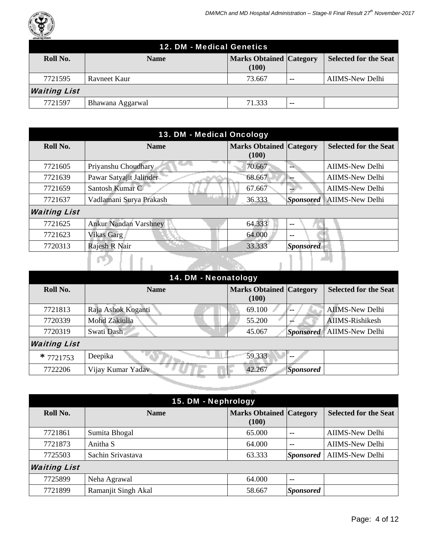

| 12. DM - Medical Genetics |                  |                                         |       |                              |  |
|---------------------------|------------------|-----------------------------------------|-------|------------------------------|--|
| Roll No.                  | <b>Name</b>      | <b>Marks Obtained Category</b><br>(100) |       | <b>Selected for the Seat</b> |  |
| 7721595                   | Ravneet Kaur     | 73.667                                  | $- -$ | AIIMS-New Delhi              |  |
| <b>Waiting List</b>       |                  |                                         |       |                              |  |
| 7721597                   | Bhawana Aggarwal | 71.333                                  | $- -$ |                              |  |

| 13. DM - Medical Oncology |                              |                                         |                  |                              |
|---------------------------|------------------------------|-----------------------------------------|------------------|------------------------------|
| Roll No.                  | <b>Name</b>                  | <b>Marks Obtained Category</b><br>(100) |                  | <b>Selected for the Seat</b> |
| 7721605                   | Priyanshu Choudhary          | 70.667                                  | --               | <b>AIIMS-New Delhi</b>       |
| 7721639                   | Pawar Satyajit Jalinder      | 68.667                                  |                  | <b>AIIMS-New Delhi</b>       |
| 7721659                   | Santosh Kumar C              | 67.667                                  |                  | <b>AIIMS-New Delhi</b>       |
| 7721637                   | Vadlamani Surya Prakash      | 36.333                                  |                  | Sponsored   AIIMS-New Delhi  |
| <b>Waiting List</b>       |                              |                                         |                  |                              |
| 7721625                   | <b>Ankur Nandan Varshney</b> | 64.333                                  | $-$              |                              |
| 7721623                   | Vikas Garg                   | 64.000                                  | --               |                              |
| 7720313                   | Rajesh R Nair                | 33.333                                  | <b>Sponsored</b> |                              |
|                           |                              |                                         |                  |                              |

|                     | 14. DM - Neonatology |                                |                  |                              |  |
|---------------------|----------------------|--------------------------------|------------------|------------------------------|--|
| Roll No.            | <b>Name</b>          | <b>Marks Obtained Category</b> |                  | <b>Selected for the Seat</b> |  |
|                     |                      | (100)                          |                  |                              |  |
| 7721813             | Raja Ashok Koganti   | 69.100                         |                  | <b>AIIMS-New Delhi</b>       |  |
| 7720339             | Mohd Zakiulla        | 55.200                         |                  | AIIMS-Rishikesh              |  |
| 7720319             | Swati Dash           | 45.067                         | Sponsored        | <b>AIIMS-New Delhi</b>       |  |
| <b>Waiting List</b> |                      |                                |                  |                              |  |
| $*7721753$          | Deepika              | 59.333                         | $\sim$           |                              |  |
| 7722206             | Vijay Kumar Yadav    | 42.267                         | <b>Sponsored</b> |                              |  |
|                     |                      |                                |                  |                              |  |
|                     |                      |                                |                  |                              |  |

| 15. DM - Nephrology |                     |                                         |                          |                              |  |
|---------------------|---------------------|-----------------------------------------|--------------------------|------------------------------|--|
| Roll No.            | <b>Name</b>         | <b>Marks Obtained Category</b><br>(100) |                          | <b>Selected for the Seat</b> |  |
| 7721861             | Sumita Bhogal       | 65.000                                  | $\overline{\phantom{m}}$ | <b>AIIMS-New Delhi</b>       |  |
| 7721873             | Anitha S            | 64.000                                  | $\overline{\phantom{m}}$ | <b>AIIMS-New Delhi</b>       |  |
| 7725503             | Sachin Srivastava   | 63.333                                  | <b>Sponsored</b>         | <b>AIIMS-New Delhi</b>       |  |
| <b>Waiting List</b> |                     |                                         |                          |                              |  |
| 7725899             | Neha Agrawal        | 64.000                                  | $- -$                    |                              |  |
| 7721899             | Ramanjit Singh Akal | 58.667                                  | <b>Sponsored</b>         |                              |  |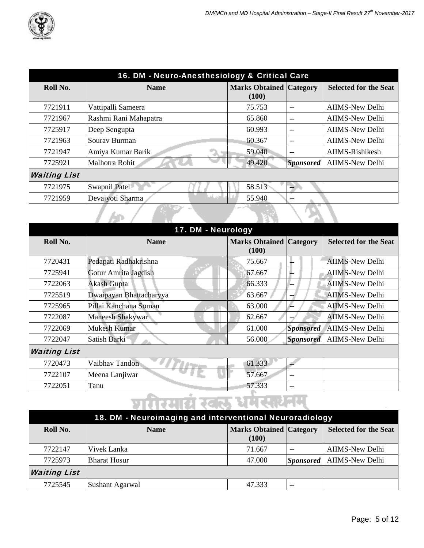

| 16. DM - Neuro-Anesthesiology & Critical Care |                       |                                         |                  |                              |  |
|-----------------------------------------------|-----------------------|-----------------------------------------|------------------|------------------------------|--|
| Roll No.                                      | <b>Name</b>           | <b>Marks Obtained Category</b><br>(100) |                  | <b>Selected for the Seat</b> |  |
|                                               |                       |                                         |                  |                              |  |
| 7721911                                       | Vattipalli Sameera    | 75.753                                  | --               | <b>AIIMS-New Delhi</b>       |  |
| 7721967                                       | Rashmi Rani Mahapatra | 65.860                                  | --               | <b>AIIMS-New Delhi</b>       |  |
| 7725917                                       | Deep Sengupta         | 60.993                                  | --               | <b>AIIMS-New Delhi</b>       |  |
| 7721963                                       | Sourav Burman         | 60.367                                  | --               | <b>AIIMS-New Delhi</b>       |  |
| 7721947                                       | Amiya Kumar Barik     | 59.040                                  | --               | AIIMS-Rishikesh              |  |
| 7725921                                       | Malhotra Rohit        | 49.420                                  | <b>Sponsored</b> | <b>AIIMS-New Delhi</b>       |  |
| <b>Waiting List</b>                           |                       |                                         |                  |                              |  |
| 7721975                                       | Swapnil Patel         | 58.513                                  | --               |                              |  |
| 7721959                                       | Devajyoti Sharma      | 55.940                                  | --               |                              |  |
|                                               |                       |                                         |                  |                              |  |

| 17. DM - Neurology  |                         |                                         |                  |                              |
|---------------------|-------------------------|-----------------------------------------|------------------|------------------------------|
| Roll No.            | <b>Name</b>             | <b>Marks Obtained Category</b><br>(100) |                  | <b>Selected for the Seat</b> |
| 7720431             | Pedapati Radhakrishna   | 75.667                                  | J.               | <b>AIIMS-New Delhi</b>       |
| 7725941             | Gotur Amrita Jagdish    | 67.667                                  | J.               | <b>AIIMS-New Delhi</b>       |
| 7722063             | <b>Akash Gupta</b>      | 66.333                                  | -۔               | <b>AIIMS-New Delhi</b>       |
| 7725519             | Dwaipayan Bhattacharyya | 63.667                                  | --               | <b>AIIMS-New Delhi</b>       |
| 7725965             | Pillai Kanchana Soman   | 63.000                                  | Æ.               | <b>AIIMS-New Delhi</b>       |
| 7722087             | Maneesh Shakywar        | 62.667                                  | $-1$             | <b>AIIMS-New Delhi</b>       |
| 7722069             | Mukesh Kumar            | 61.000                                  | <b>Sponsored</b> | <b>AIIMS-New Delhi</b>       |
| 7722047             | Satish Barki            | 56.000                                  | <b>Sponsored</b> | <b>AIIMS-New Delhi</b>       |
| <b>Waiting List</b> |                         |                                         |                  |                              |
| 7720473             | Vaibhav Tandon          | 61.333                                  |                  |                              |
| 7722107             | Meena Lanjiwar          | 57.667                                  | --               |                              |
| 7722051             | Tanu                    | 57.333                                  | $-$              |                              |

| 18. DM - Neuroimaging and interventional Neuroradiology |                     |                                         |       |                                    |
|---------------------------------------------------------|---------------------|-----------------------------------------|-------|------------------------------------|
| Roll No.                                                | <b>Name</b>         | <b>Marks Obtained Category</b><br>(100) |       | <b>Selected for the Seat</b>       |
| 7722147                                                 | Vivek Lanka         | 71.667                                  | $-$   | AIIMS-New Delhi                    |
| 7725973                                                 | <b>Bharat Hosur</b> | 47.000                                  |       | <i>Sponsored</i>   AIIMS-New Delhi |
| <b>Waiting List</b>                                     |                     |                                         |       |                                    |
| 7725545                                                 | Sushant Agarwal     | 47.333                                  | $- -$ |                                    |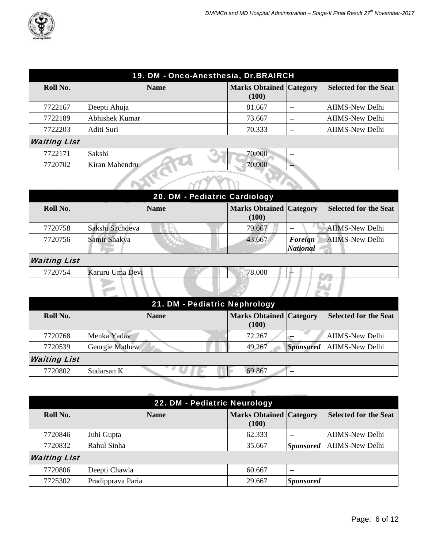

| 19. DM - Onco-Anesthesia, Dr.BRAIRCH |                |                                         |       |                              |  |
|--------------------------------------|----------------|-----------------------------------------|-------|------------------------------|--|
| Roll No.                             | <b>Name</b>    | <b>Marks Obtained Category</b><br>(100) |       | <b>Selected for the Seat</b> |  |
| 7722167                              | Deepti Ahuja   | 81.667                                  | $- -$ | <b>AIIMS-New Delhi</b>       |  |
| 7722189                              | Abhishek Kumar | 73.667                                  | $- -$ | <b>AIIMS-New Delhi</b>       |  |
| 7722203                              | Aditi Suri     | 70.333                                  | --    | <b>AIIMS-New Delhi</b>       |  |
| <b>Waiting List</b>                  |                |                                         |       |                              |  |
| 7722171                              | Sakshi         | 70.000                                  | $- -$ |                              |  |
| 7720702                              | Kiran Mahendru | 70.000                                  |       |                              |  |
|                                      |                |                                         |       |                              |  |

| 20. DM - Pediatric Cardiology |                 |                                         |                            |                              |
|-------------------------------|-----------------|-----------------------------------------|----------------------------|------------------------------|
| Roll No.                      | <b>Name</b>     | <b>Marks Obtained Category</b><br>(100) |                            | <b>Selected for the Seat</b> |
| 7720758                       | Sakshi Sachdeva | 79.667                                  | --                         | <b>AIIMS-New Delhi</b>       |
| 7720756                       | Samir Shakya    | 43.667                                  | Foreign<br><b>National</b> | <b>AIIMS-New Delhi</b>       |
| <b>Waiting List</b>           |                 |                                         |                            |                              |
| 7720754                       | Karuru Uma Devi | 78.000                                  | ш.                         |                              |
|                               |                 |                                         |                            |                              |

| 21. DM - Pediatric Nephrology |                |                                         |                  |                              |
|-------------------------------|----------------|-----------------------------------------|------------------|------------------------------|
| Roll No.                      | <b>Name</b>    | <b>Marks Obtained Category</b><br>(100) |                  | <b>Selected for the Seat</b> |
| 7720768                       | Menka Yadav    | 72.267                                  |                  | <b>AIIMS-New Delhi</b>       |
| 7720539                       | Georgie Mathew | 49.267                                  | <b>Sponsored</b> | <b>AIIMS-New Delhi</b>       |
| <b>Waiting List</b>           |                |                                         |                  |                              |
| 7720802                       | Sudarsan K     | 69.867                                  | --               |                              |
|                               |                |                                         |                  |                              |

|                     | 22. DM - Pediatric Neurology |                                         |                          |                              |  |
|---------------------|------------------------------|-----------------------------------------|--------------------------|------------------------------|--|
| Roll No.            | <b>Name</b>                  | <b>Marks Obtained Category</b><br>(100) |                          | <b>Selected for the Seat</b> |  |
| 7720846             | Juhi Gupta                   | 62.333                                  | $\overline{\phantom{a}}$ | <b>AIIMS-New Delhi</b>       |  |
| 7720832             | Rahul Sinha                  | 35.667                                  | <b>Sponsored</b>         | <b>AIIMS-New Delhi</b>       |  |
| <b>Waiting List</b> |                              |                                         |                          |                              |  |
| 7720806             | Deepti Chawla                | 60.667                                  | $- -$                    |                              |  |
| 7725302             | Pradipprava Paria            | 29.667                                  | <b>Sponsored</b>         |                              |  |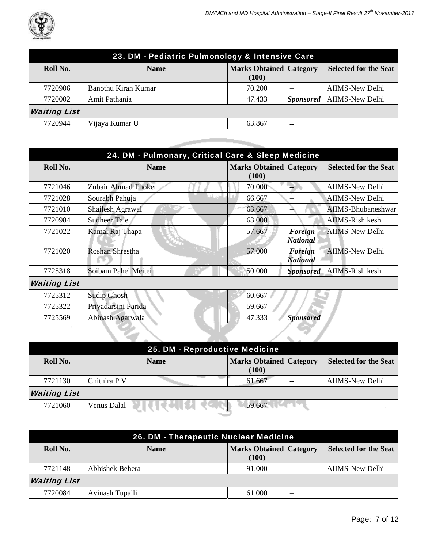

| 23. DM - Pediatric Pulmonology & Intensive Care |                     |                                         |       |                              |
|-------------------------------------------------|---------------------|-----------------------------------------|-------|------------------------------|
| Roll No.                                        | <b>Name</b>         | <b>Marks Obtained Category</b><br>(100) |       | <b>Selected for the Seat</b> |
| 7720906                                         | Banothu Kiran Kumar | 70.200                                  | --    | AIIMS-New Delhi              |
| 7720002                                         | Amit Pathania       | 47.433                                  |       | Sponsored   AIIMS-New Delhi  |
| <b>Waiting List</b>                             |                     |                                         |       |                              |
| 7720944                                         | Vijaya Kumar U      | 63.867                                  | $- -$ |                              |

and the first state of the local

| 24. DM - Pulmonary, Critical Care & Sleep Medicine |                     |                                         |                            |                              |
|----------------------------------------------------|---------------------|-----------------------------------------|----------------------------|------------------------------|
| Roll No.                                           | <b>Name</b>         | <b>Marks Obtained Category</b><br>(100) |                            | <b>Selected for the Seat</b> |
| 7721046                                            | Zubair Ahmad Thoker | 70.000                                  | ш.                         | <b>AIIMS-New Delhi</b>       |
| 7721028                                            | Sourabh Pahuja      | 66.667                                  | $- -$                      | <b>AIIMS-New Delhi</b>       |
| 7721010                                            | Shailesh Agrawal    | 63.667                                  | --                         | AIIMS-Bhubaneshwar           |
| 7720984                                            | <b>Sudheer Tale</b> | 63.000                                  | $- -$                      | AIIMS-Rishikesh              |
| 7721022                                            | Kamal Raj Thapa     | 57.667                                  | Foreign<br><b>National</b> | <b>AIIMS-New Delhi</b>       |
| 7721020                                            | Roshan Shrestha     | 57.000                                  | Foreign<br><b>National</b> | <b>AIIMS-New Delhi</b>       |
| 7725318                                            | Soibam Pahel Meitei | 50.000                                  | <b>Sponsored</b>           | AIIMS-Rishikesh              |
| <b>Waiting List</b>                                |                     |                                         |                            |                              |
| 7725312                                            | <b>Sudip Ghosh</b>  | 60.667                                  | --                         |                              |
| 7725322                                            | Priyadarsini Parida | 59.667                                  |                            |                              |
| 7725569                                            | Abinash Agarwala    | 47.333                                  | <b>Sponsored</b>           |                              |
|                                                    |                     |                                         |                            |                              |

| 25. DM - Reproductive Medicine |              |             |  |                                         |       |                              |
|--------------------------------|--------------|-------------|--|-----------------------------------------|-------|------------------------------|
| Roll No.                       |              | <b>Name</b> |  | <b>Marks Obtained Category</b><br>(100) |       | <b>Selected for the Seat</b> |
| 7721130                        | Chithira P V |             |  | 61.667                                  | $- -$ | AIIMS-New Delhi              |
| <b>Waiting List</b>            |              |             |  |                                         |       |                              |
| 7721060                        | Venus Dalal  |             |  | 59.667                                  | --    |                              |
|                                |              |             |  |                                         |       |                              |

| 26. DM - Therapeutic Nuclear Medicine |                 |                                         |       |                              |  |
|---------------------------------------|-----------------|-----------------------------------------|-------|------------------------------|--|
| Roll No.                              | <b>Name</b>     | <b>Marks Obtained Category</b><br>(100) |       | <b>Selected for the Seat</b> |  |
| 7721148                               | Abhishek Behera | 91.000                                  | $- -$ | AIIMS-New Delhi              |  |
| <b>Waiting List</b>                   |                 |                                         |       |                              |  |
| 7720084                               | Avinash Tupalli | 61.000                                  | $- -$ |                              |  |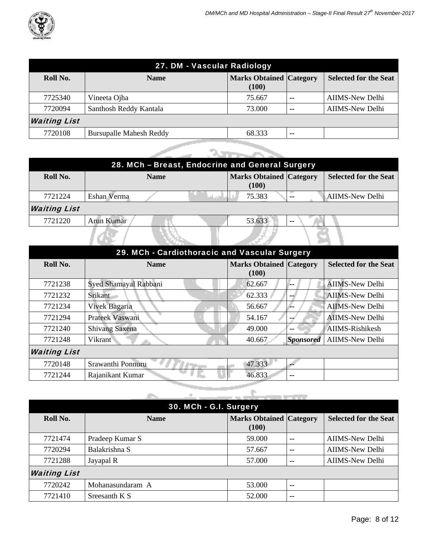

| 27. DM - Vascular Radiology |                                |                                         |       |                              |  |
|-----------------------------|--------------------------------|-----------------------------------------|-------|------------------------------|--|
| Roll No.                    | <b>Name</b>                    | <b>Marks Obtained Category</b><br>(100) |       | <b>Selected for the Seat</b> |  |
| 7725340                     | Vineeta Ojha                   | 75.667                                  | $- -$ | AIIMS-New Delhi              |  |
| 7720094                     | Santhosh Reddy Kantala         | 73.000                                  | $- -$ | AIIMS-New Delhi              |  |
| <b>Waiting List</b>         |                                |                                         |       |                              |  |
| 7720108                     | <b>Bursupalle Mahesh Reddy</b> | 68.333                                  | $- -$ |                              |  |

|                     |             | 28. MCh - Breast, Endocrine and General Surgery |                                         |       |                              |
|---------------------|-------------|-------------------------------------------------|-----------------------------------------|-------|------------------------------|
| Roll No.            |             | <b>Name</b>                                     | <b>Marks Obtained Category</b><br>(100) |       | <b>Selected for the Seat</b> |
| 7721224             | Eshan Verma |                                                 | 75.383                                  | --    | <b>AIIMS-New Delhi</b>       |
| <b>Waiting List</b> |             |                                                 |                                         |       |                              |
| 7721220             | Arun Kumar  |                                                 | 53.633                                  | $- -$ |                              |
|                     |             |                                                 |                                         |       |                              |

| 29. MCh - Cardiothoracic and Vascular Surgery |                       |                                         |                  |                              |  |
|-----------------------------------------------|-----------------------|-----------------------------------------|------------------|------------------------------|--|
| Roll No.                                      | <b>Name</b>           | <b>Marks Obtained Category</b><br>(100) |                  | <b>Selected for the Seat</b> |  |
| 7721238                                       | Syed Shamayal Rabbani | 62.667                                  |                  | <b>AIIMS-New Delhi</b>       |  |
| 7721232                                       | Srikant               | 62.333                                  | --               | <b>AIIMS-New Delhi</b>       |  |
| 7721234                                       | Vivek Bagaria         | 56.667                                  | --               | <b>AIIMS-New Delhi</b>       |  |
| 7721294                                       | Prateek Vaswani       | 54.167                                  |                  | <b>AIIMS-New Delhi</b>       |  |
| 7721240                                       | Shivang Saxena        | 49.000                                  | --               | AIIMS-Rishikesh              |  |
| 7721248                                       | Vikrant               | 40.667                                  | <b>Sponsored</b> | <b>AIIMS-New Delhi</b>       |  |
| <b>Waiting List</b>                           |                       |                                         |                  |                              |  |
| 7720148                                       | Srawanthi Ponnuru     | 47.333                                  |                  |                              |  |
| 7721244                                       | Rajanikant Kumar      | 46.833                                  | $- -$            |                              |  |

|                     | 30. MCh - G.I. Surgery |                                         |       |                              |
|---------------------|------------------------|-----------------------------------------|-------|------------------------------|
| Roll No.            | <b>Name</b>            | <b>Marks Obtained Category</b><br>(100) |       | <b>Selected for the Seat</b> |
| 7721474             | Pradeep Kumar S        | 59.000                                  | $-$   | <b>AIIMS-New Delhi</b>       |
| 7720294             | Balakrishna S          | 57.667                                  | $- -$ | <b>AIIMS-New Delhi</b>       |
| 7721288             | Jayapal R              | 57.000                                  | $- -$ | <b>AIIMS-New Delhi</b>       |
| <b>Waiting List</b> |                        |                                         |       |                              |
| 7720242             | Mohanasundaram A       | 53.000                                  | $-$   |                              |
| 7721410             | Sreesanth K S          | 52.000                                  | --    |                              |

يستعصب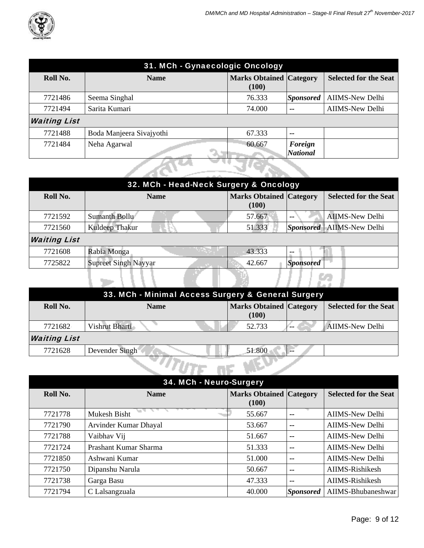

| 31. MCh - Gynaecologic Oncology |                          |                                         |                            |                              |
|---------------------------------|--------------------------|-----------------------------------------|----------------------------|------------------------------|
| Roll No.                        | <b>Name</b>              | <b>Marks Obtained Category</b><br>(100) |                            | <b>Selected for the Seat</b> |
| 7721486                         | Seema Singhal            | 76.333                                  | <b>Sponsored</b>           | <b>AIIMS-New Delhi</b>       |
| 7721494                         | Sarita Kumari            | 74.000                                  | $\overline{\phantom{m}}$   | <b>AIIMS-New Delhi</b>       |
| <b>Waiting List</b>             |                          |                                         |                            |                              |
| 7721488                         | Boda Manjeera Sivajyothi | 67.333                                  | $-$                        |                              |
| 7721484                         | Neha Agarwal             | 60.667                                  | Foreign<br><b>National</b> |                              |
|                                 |                          |                                         |                            |                              |

| 32. MCh - Head-Neck Surgery & Oncology |                             |                                         |                  |                              |  |
|----------------------------------------|-----------------------------|-----------------------------------------|------------------|------------------------------|--|
| Roll No.                               | <b>Name</b>                 | <b>Marks Obtained Category</b><br>(100) |                  | <b>Selected for the Seat</b> |  |
| 7721592                                | Sumanth Bollu               | 57.667                                  | $- -$            | <b>AIIMS-New Delhi</b>       |  |
| 7721560                                | Kuldeep Thakur              | 51.333                                  | Sponsored        | <b>AIIMS-New Delhi</b>       |  |
| <b>Waiting List</b>                    |                             |                                         |                  |                              |  |
| 7721608                                | Rabia Monga                 | 43.333                                  | $- -$            |                              |  |
| 7725822                                | <b>Supreet Singh Nayyar</b> | 42.667                                  | <b>Sponsored</b> |                              |  |
|                                        |                             |                                         |                  |                              |  |

| 33. MCh - Minimal Access Surgery & General Surgery |                |                                         |  |                              |  |
|----------------------------------------------------|----------------|-----------------------------------------|--|------------------------------|--|
| Roll No.                                           | <b>Name</b>    | <b>Marks Obtained Category</b><br>(100) |  | <b>Selected for the Seat</b> |  |
| 7721682                                            | Vishrut Bharti | 52.733                                  |  | <b>AIIMS-New Delhi</b>       |  |
| <b>Waiting List</b>                                |                |                                         |  |                              |  |
| 7721628                                            | Devender Singh | 51.800                                  |  |                              |  |
|                                                    |                |                                         |  |                              |  |

| 34. MCh - Neuro-Surgery |                       |                                         |                  |                              |  |
|-------------------------|-----------------------|-----------------------------------------|------------------|------------------------------|--|
| Roll No.                | <b>Name</b>           | <b>Marks Obtained Category</b><br>(100) |                  | <b>Selected for the Seat</b> |  |
| 7721778                 | <b>Mukesh Bisht</b>   | 55.667                                  | $-$              | <b>AIIMS-New Delhi</b>       |  |
| 7721790                 | Arvinder Kumar Dhayal | 53.667                                  | $-$              | <b>AIIMS-New Delhi</b>       |  |
| 7721788                 | Vaibhav Vij           | 51.667                                  | $-$              | <b>AIIMS-New Delhi</b>       |  |
| 7721724                 | Prashant Kumar Sharma | 51.333                                  | $-$              | <b>AIIMS-New Delhi</b>       |  |
| 7721850                 | Ashwani Kumar         | 51.000                                  | $\sim$           | <b>AIIMS-New Delhi</b>       |  |
| 7721750                 | Dipanshu Narula       | 50.667                                  | $-$              | AIIMS-Rishikesh              |  |
| 7721738                 | Garga Basu            | 47.333                                  | $-$              | AIIMS-Rishikesh              |  |
| 7721794                 | C Lalsangzuala        | 40.000                                  | <b>Sponsored</b> | AIIMS-Bhubaneshwar           |  |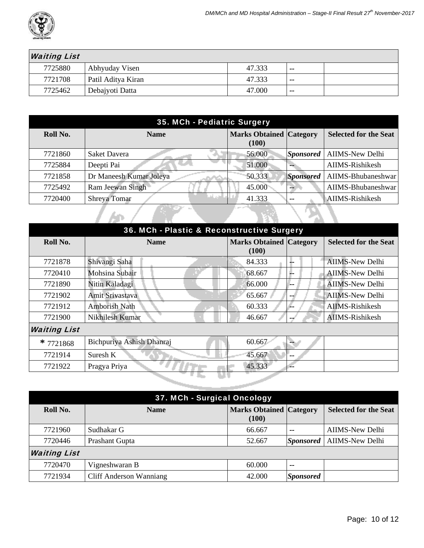

| <b>Waiting List</b> |                    |        |                          |  |
|---------------------|--------------------|--------|--------------------------|--|
| 7725880             | Abhyuday Visen     | 47.333 | $\overline{\phantom{m}}$ |  |
| 7721708             | Patil Aditya Kiran | 47.333 | $- -$                    |  |
| 7725462             | Debajyoti Datta    | 47.000 | $- -$                    |  |

| 35. MCh - Pediatric Surgery |                         |                                         |                  |                              |
|-----------------------------|-------------------------|-----------------------------------------|------------------|------------------------------|
| Roll No.                    | <b>Name</b>             | <b>Marks Obtained Category</b><br>(100) |                  | <b>Selected for the Seat</b> |
| 7721860                     | <b>Saket Davera</b>     | 56.000                                  | <b>Sponsored</b> | <b>AIIMS-New Delhi</b>       |
| 7725884                     | Deepti Pai              | 51.000                                  |                  | AIIMS-Rishikesh              |
| 7721858                     | Dr Maneesh Kumar Joleya | 50.333                                  | <b>Sponsored</b> | AIIMS-Bhubaneshwar           |
| 7725492                     | Ram Jeewan Singh        | 45.000                                  | --               | AIIMS-Bhubaneshwar           |
| 7720400                     | Shreya Tomar            | 41.333                                  |                  | AIIMS-Rishikesh              |
|                             |                         |                                         |                  |                              |

| 36. MCh - Plastic & Reconstructive Surgery |                           |                                         |    |                              |
|--------------------------------------------|---------------------------|-----------------------------------------|----|------------------------------|
| Roll No.                                   | <b>Name</b>               | <b>Marks Obtained Category</b><br>(100) |    | <b>Selected for the Seat</b> |
| 7721878                                    | Shivangi Saha             | 84.333                                  | -- | <b>AIIMS-New Delhi</b>       |
| 7720410                                    | Mohsina Subair            | 68.667                                  |    | <b>AIIMS-New Delhi</b>       |
| 7721890                                    | Nitin Kaladagi            | 66.000                                  | -- | <b>AIIMS-New Delhi</b>       |
| 7721902                                    | Amit Srivastava           | 65.667                                  |    | <b>AIIMS-New Delhi</b>       |
| 7721912                                    | <b>Amborish Nath</b>      | 60.333                                  |    | AIIMS-Rishikesh              |
| 7721900                                    | Nikhilesh Kumar           | 46.667                                  | -- | <b>AIIMS-Rishikesh</b>       |
| <b>Waiting List</b>                        |                           |                                         |    |                              |
| $*7721868$                                 | Bichpuriya Ashish Dhanraj | 60.667                                  |    |                              |
| 7721914                                    | Suresh K                  | 45.667                                  |    |                              |
| 7721922                                    | Pragya Priya              | 45.333                                  |    |                              |
|                                            |                           |                                         |    |                              |

| 37. MCh - Surgical Oncology |                                |                                         |                  |                              |
|-----------------------------|--------------------------------|-----------------------------------------|------------------|------------------------------|
| Roll No.                    | <b>Name</b>                    | <b>Marks Obtained Category</b><br>(100) |                  | <b>Selected for the Seat</b> |
| 7721960                     | Sudhakar G                     | 66.667                                  | --               | <b>AIIMS-New Delhi</b>       |
| 7720446                     | Prashant Gupta                 | 52.667                                  | <b>Sponsored</b> | <b>AIIMS-New Delhi</b>       |
| <b>Waiting List</b>         |                                |                                         |                  |                              |
| 7720470                     | Vigneshwaran B                 | 60.000                                  | $- -$            |                              |
| 7721934                     | <b>Cliff Anderson Wanniang</b> | 42.000                                  | <b>Sponsored</b> |                              |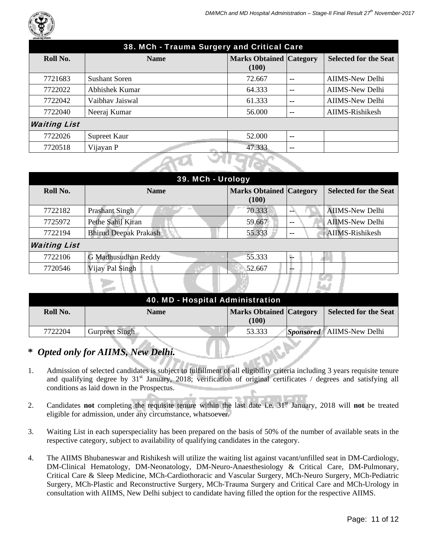

| 38. MCh - Trauma Surgery and Critical Care |                      |                                         |       |                              |  |
|--------------------------------------------|----------------------|-----------------------------------------|-------|------------------------------|--|
| Roll No.                                   | <b>Name</b>          | <b>Marks Obtained Category</b><br>(100) |       | <b>Selected for the Seat</b> |  |
| 7721683                                    | <b>Sushant Soren</b> | 72.667                                  | $-$   | <b>AIIMS-New Delhi</b>       |  |
| 7722022                                    | Abhishek Kumar       | 64.333                                  | $- -$ | <b>AIIMS-New Delhi</b>       |  |
| 7722042                                    | Vaibhay Jaiswal      | 61.333                                  | --    | <b>AIIMS-New Delhi</b>       |  |
| 7722040                                    | Neeraj Kumar         | 56.000                                  | $- -$ | AIIMS-Rishikesh              |  |
| <b>Waiting List</b>                        |                      |                                         |       |                              |  |
| 7722026                                    | Supreet Kaur         | 52.000                                  | $-$   |                              |  |
| 7720518                                    | Vijayan P            | 47.333                                  | --    |                              |  |
|                                            |                      |                                         |       |                              |  |

| 39. MCh - Urology   |                              |                                         |    |                              |
|---------------------|------------------------------|-----------------------------------------|----|------------------------------|
| Roll No.            | <b>Name</b>                  | <b>Marks Obtained Category</b><br>(100) |    | <b>Selected for the Seat</b> |
| 7722182             | <b>Prashant Singh</b>        | 70.333                                  |    | <b>AIIMS-New Delhi</b>       |
| 7725972             | Pethe Sahil Kiran            | 59.667                                  | -- | <b>AIIMS-New Delhi</b>       |
| 7722194             | <b>Bhirud Deepak Prakash</b> | 55.333                                  | -- | AIIMS-Rishikesh              |
| <b>Waiting List</b> |                              |                                         |    |                              |
| 7722106             | G Madhusudhan Reddy          | 55.333                                  | Đ. |                              |
| 7720546             | Vijay Pal Singh              | 52.667                                  | -- |                              |
|                     |                              |                                         |    |                              |

╱╱

| 40. MD - Hospital Administration |                       |                                         |  |                                    |
|----------------------------------|-----------------------|-----------------------------------------|--|------------------------------------|
| Roll No.                         | <b>Name</b>           | <b>Marks Obtained Category</b><br>(100) |  | <b>Selected for the Seat</b>       |
| 7722204                          | <b>Gurpreet Singh</b> | 53.333                                  |  | <i>Sponsored</i>   AIIMS-New Delhi |

## **\*** *Opted only for AIIMS, New Delhi.*

- 1. Admission of selected candidates is subject to fulfillment of all eligibility criteria including 3 years requisite tenure and qualifying degree by 31<sup>st</sup> January, 2018; verification of original certificates / degrees and satisfying all conditions as laid down in the Prospectus.
- 2. Candidates **not** completing the requisite tenure within the last date i.e. 31st January, 2018 will **not** be treated eligible for admission, under any circumstance, whatsoever.
- 3. Waiting List in each superspeciality has been prepared on the basis of 50% of the number of available seats in the respective category, subject to availability of qualifying candidates in the category.
- 4. The AIIMS Bhubaneswar and Rishikesh will utilize the waiting list against vacant/unfilled seat in DM-Cardiology, DM-Clinical Hematology, DM-Neonatology, DM-Neuro-Anaesthesiology & Critical Care, DM-Pulmonary, Critical Care & Sleep Medicine, MCh-Cardiothoracic and Vascular Surgery, MCh-Neuro Surgery, MCh-Pediatric Surgery, MCh-Plastic and Reconstructive Surgery, MCh-Trauma Surgery and Critical Care and MCh-Urology in consultation with AIIMS, New Delhi subject to candidate having filled the option for the respective AIIMS.